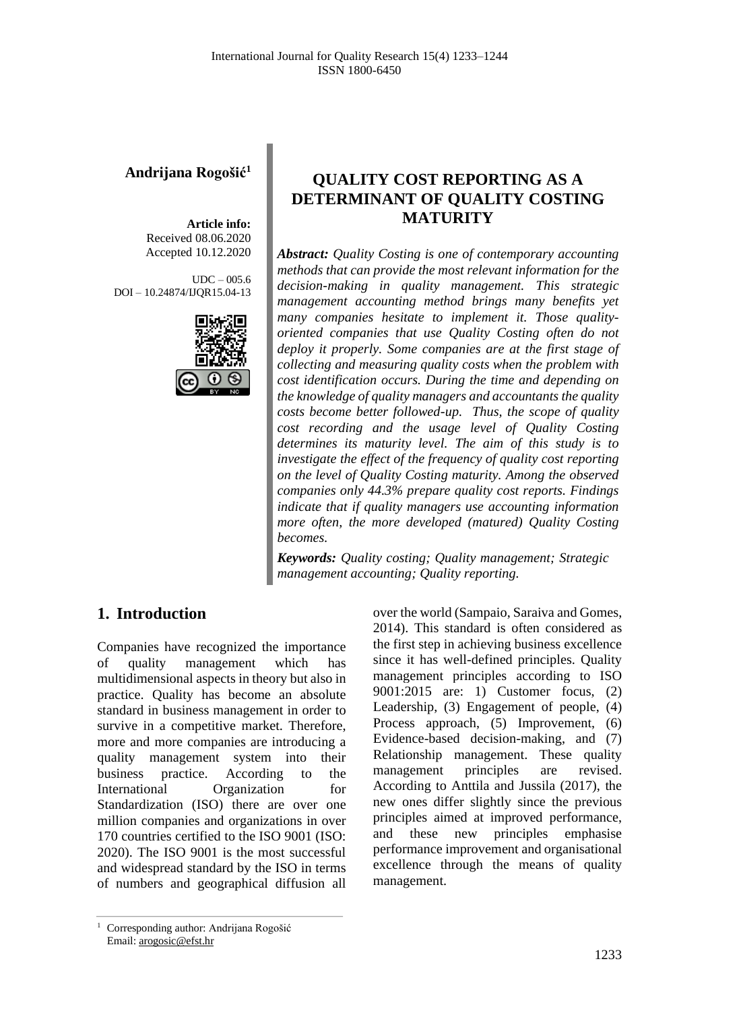#### **Andrijana Rogošić<sup>1</sup>**

**Article info:** Received 08.06.2020 Accepted 10.12.2020

 $UDC - 005.6$ DOI – 10.24874/IJQR15.04-13



## **QUALITY COST REPORTING AS A DETERMINANT OF QUALITY COSTING MATURITY**

*Abstract: Quality Costing is one of contemporary accounting methods that can provide the most relevant information for the decision-making in quality management. This strategic management accounting method brings many benefits yet many companies hesitate to implement it. Those qualityoriented companies that use Quality Costing often do not deploy it properly. Some companies are at the first stage of collecting and measuring quality costs when the problem with cost identification occurs. During the time and depending on the knowledge of quality managers and accountants the quality costs become better followed-up. Thus, the scope of quality cost recording and the usage level of Quality Costing determines its maturity level. The aim of this study is to investigate the effect of the frequency of quality cost reporting on the level of Quality Costing maturity. Among the observed companies only 44.3% prepare quality cost reports. Findings indicate that if quality managers use accounting information more often, the more developed (matured) Quality Costing becomes.*

*Keywords: Quality costing; Quality management; Strategic management accounting; Quality reporting.*

### **1. Introduction**

Companies have recognized the importance of quality management which has multidimensional aspects in theory but also in practice. Quality has become an absolute standard in business management in order to survive in a competitive market. Therefore, more and more companies are introducing a quality management system into their business practice. According to the International Organization for Standardization (ISO) there are over one million companies and organizations in over 170 countries certified to the ISO 9001 (ISO: 2020). The ISO 9001 is the most successful and widespread standard by the ISO in terms of numbers and geographical diffusion all

over the world (Sampaio, Saraiva and Gomes, 2014). This standard is often considered as the first step in achieving business excellence since it has well-defined principles. Quality management principles according to ISO 9001:2015 are: 1) Customer focus, (2) Leadership, (3) Engagement of people, (4) Process approach, (5) Improvement, (6) Evidence-based decision-making, and (7) Relationship management. These quality management principles are revised. According to Anttila and Jussila (2017), the new ones differ slightly since the previous principles aimed at improved performance, and these new principles emphasise performance improvement and organisational excellence through the means of quality management.

<sup>&</sup>lt;sup>1</sup> Corresponding author: Andrijana Rogošić Email: arogosic@efst.hr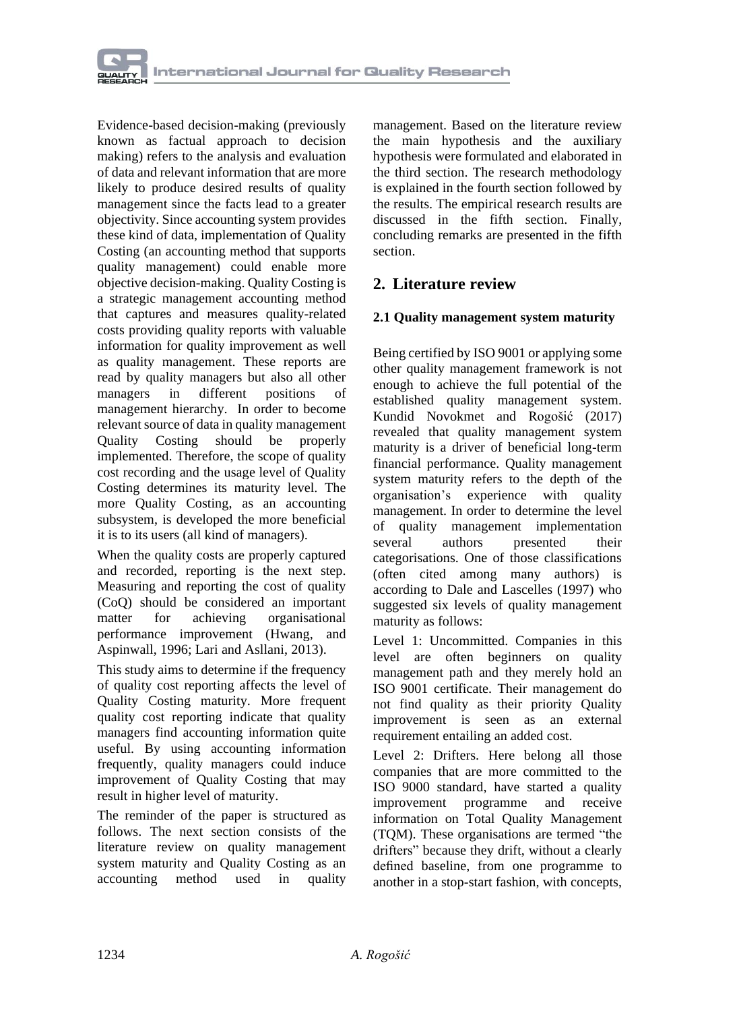

Evidence-based decision-making (previously known as factual approach to decision making) refers to the analysis and evaluation of data and relevant information that are more likely to produce desired results of quality management since the facts lead to a greater objectivity. Since accounting system provides these kind of data, implementation of Quality Costing (an accounting method that supports quality management) could enable more objective decision-making. Quality Costing is a strategic management accounting method that captures and measures quality-related costs providing quality reports with valuable information for quality improvement as well as quality management. These reports are read by quality managers but also all other<br>managers in different positions of managers in different positions of management hierarchy. In order to become relevant source of data in quality management Quality Costing should be properly implemented. Therefore, the scope of quality cost recording and the usage level of Quality Costing determines its maturity level. The more Quality Costing, as an accounting subsystem, is developed the more beneficial it is to its users (all kind of managers).

When the quality costs are properly captured and recorded, reporting is the next step. Measuring and reporting the cost of quality (CoQ) should be considered an important matter for achieving organisational performance improvement (Hwang, and Aspinwall, 1996; Lari and Asllani, 2013).

This study aims to determine if the frequency of quality cost reporting affects the level of Quality Costing maturity. More frequent quality cost reporting indicate that quality managers find accounting information quite useful. By using accounting information frequently, quality managers could induce improvement of Quality Costing that may result in higher level of maturity.

The reminder of the paper is structured as follows. The next section consists of the literature review on quality management system maturity and Quality Costing as an accounting method used in quality

management. Based on the literature review the main hypothesis and the auxiliary hypothesis were formulated and elaborated in the third section. The research methodology is explained in the fourth section followed by the results. The empirical research results are discussed in the fifth section. Finally, concluding remarks are presented in the fifth section.

### **2. Literature review**

#### **2.1 Quality management system maturity**

Being certified by ISO 9001 or applying some other quality management framework is not enough to achieve the full potential of the established quality management system. Kundid Novokmet and Rogošić (2017) revealed that quality management system maturity is a driver of beneficial long-term financial performance. Quality management system maturity refers to the depth of the organisation's experience with quality management. In order to determine the level of quality management implementation several authors presented their categorisations. One of those classifications (often cited among many authors) is according to Dale and Lascelles (1997) who suggested six levels of quality management maturity as follows:

Level 1: Uncommitted. Companies in this level are often beginners on quality management path and they merely hold an ISO 9001 certificate. Their management do not find quality as their priority Quality improvement is seen as an external requirement entailing an added cost.

Level 2: Drifters. Here belong all those companies that are more committed to the ISO 9000 standard, have started a quality improvement programme and receive information on Total Quality Management (TQM). These organisations are termed "the drifters" because they drift, without a clearly defined baseline, from one programme to another in a stop-start fashion, with concepts,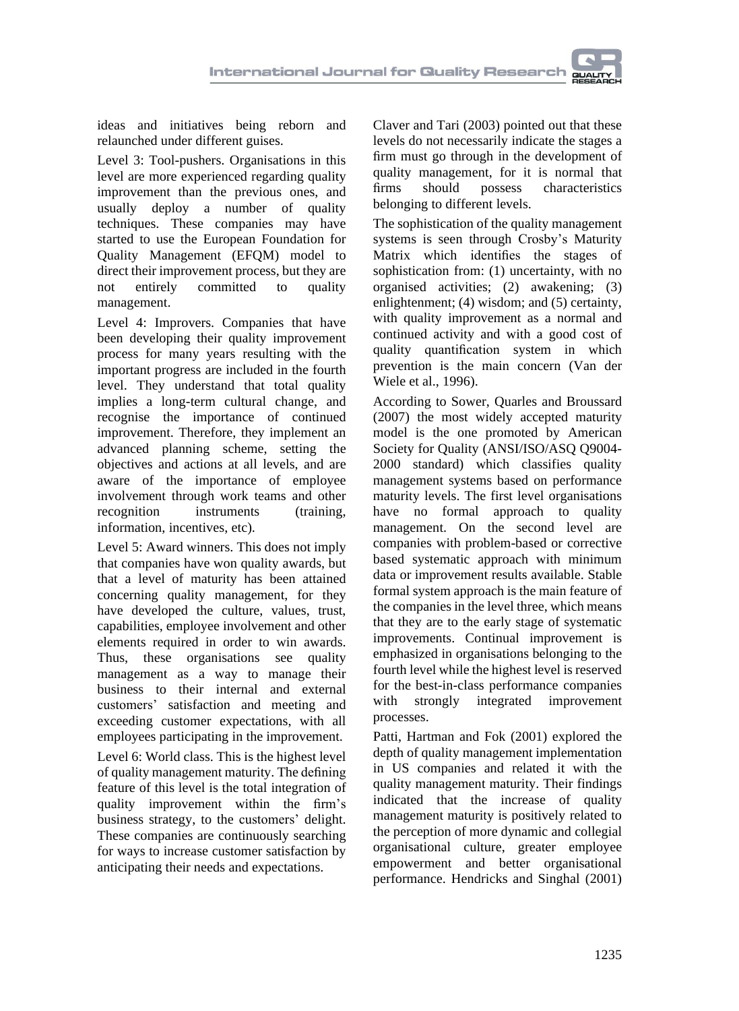



ideas and initiatives being reborn and relaunched under different guises.

Level 3: Tool-pushers. Organisations in this level are more experienced regarding quality improvement than the previous ones, and usually deploy a number of quality techniques. These companies may have started to use the European Foundation for Quality Management (EFQM) model to direct their improvement process, but they are not entirely committed to quality management.

Level 4: Improvers. Companies that have been developing their quality improvement process for many years resulting with the important progress are included in the fourth level. They understand that total quality implies a long-term cultural change, and recognise the importance of continued improvement. Therefore, they implement an advanced planning scheme, setting the objectives and actions at all levels, and are aware of the importance of employee involvement through work teams and other recognition instruments (training, information, incentives, etc).

Level 5: Award winners. This does not imply that companies have won quality awards, but that a level of maturity has been attained concerning quality management, for they have developed the culture, values, trust, capabilities, employee involvement and other elements required in order to win awards. Thus, these organisations see quality management as a way to manage their business to their internal and external customers' satisfaction and meeting and exceeding customer expectations, with all employees participating in the improvement.

Level 6: World class. This is the highest level of quality management maturity. The defining feature of this level is the total integration of quality improvement within the firm's business strategy, to the customers' delight. These companies are continuously searching for ways to increase customer satisfaction by anticipating their needs and expectations.

Claver and Tari (2003) pointed out that these levels do not necessarily indicate the stages a firm must go through in the development of quality management, for it is normal that<br>firms should possess characteristics firms should possess characteristics belonging to different levels.

The sophistication of the quality management systems is seen through Crosby's Maturity Matrix which identifies the stages of sophistication from: (1) uncertainty, with no organised activities; (2) awakening; (3) enlightenment; (4) wisdom; and (5) certainty, with quality improvement as a normal and continued activity and with a good cost of quality quantification system in which prevention is the main concern (Van der Wiele et al., 1996).

According to Sower, Quarles and Broussard (2007) the most widely accepted maturity model is the one promoted by American Society for Quality (ANSI/ISO/ASQ Q9004- 2000 standard) which classifies quality management systems based on performance maturity levels. The first level organisations have no formal approach to quality management. On the second level are companies with problem-based or corrective based systematic approach with minimum data or improvement results available. Stable formal system approach is the main feature of the companies in the level three, which means that they are to the early stage of systematic improvements. Continual improvement is emphasized in organisations belonging to the fourth level while the highest level is reserved for the best-in-class performance companies with strongly integrated improvement processes.

Patti, Hartman and Fok (2001) explored the depth of quality management implementation in US companies and related it with the quality management maturity. Their findings indicated that the increase of quality management maturity is positively related to the perception of more dynamic and collegial organisational culture, greater employee empowerment and better organisational performance. Hendricks and Singhal (2001)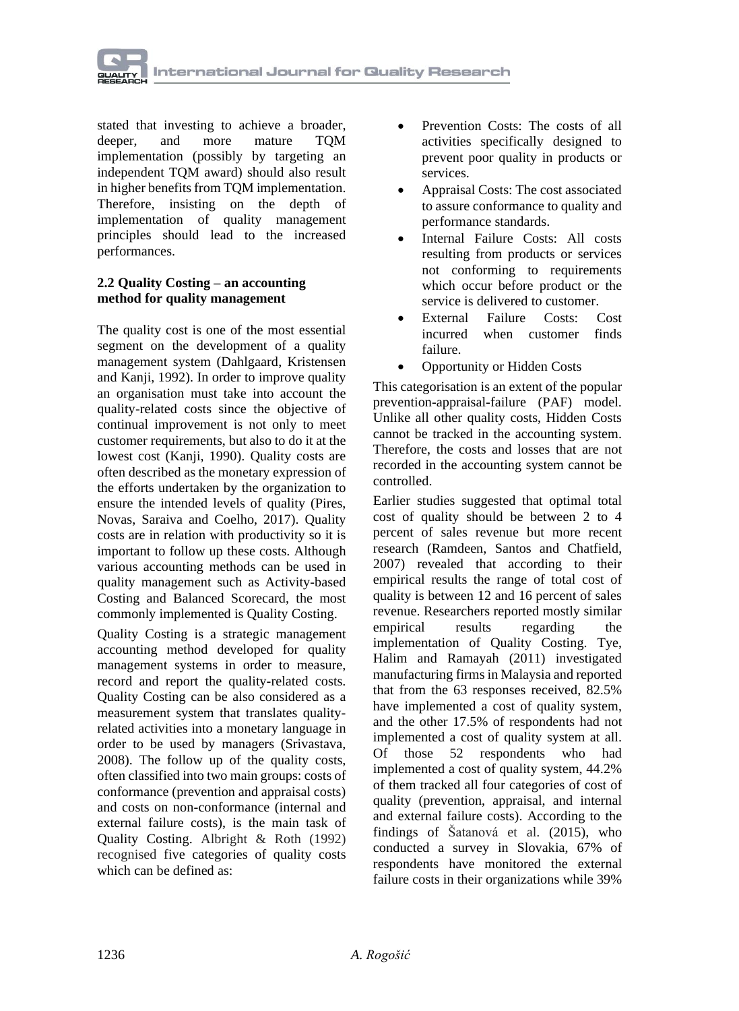

stated that investing to achieve a broader, deeper, and more mature TQM implementation (possibly by targeting an independent TQM award) should also result in higher benefits from TQM implementation. Therefore, insisting on the depth of implementation of quality management principles should lead to the increased performances.

#### **2.2 Quality Costing – an accounting method for quality management**

The quality cost is one of the most essential segment on the development of a quality management system (Dahlgaard, Kristensen and Kanji, 1992). In order to improve quality an organisation must take into account the quality-related costs since the objective of continual improvement is not only to meet customer requirements, but also to do it at the lowest cost (Kanji, 1990). Quality costs are often described as the monetary expression of the efforts undertaken by the organization to ensure the intended levels of quality (Pires, Novas, Saraiva and Coelho, 2017). Quality costs are in relation with productivity so it is important to follow up these costs. Although various accounting methods can be used in quality management such as Activity-based Costing and Balanced Scorecard, the most commonly implemented is Quality Costing.

Quality Costing is a strategic management accounting method developed for quality management systems in order to measure, record and report the quality-related costs. Quality Costing can be also considered as a measurement system that translates qualityrelated activities into a monetary language in order to be used by managers (Srivastava, 2008). The follow up of the quality costs, often classified into two main groups: costs of conformance (prevention and appraisal costs) and costs on non-conformance (internal and external failure costs), is the main task of Quality Costing. Albright & Roth (1992) recognised five categories of quality costs which can be defined as:

- Prevention Costs: The costs of all activities specifically designed to prevent poor quality in products or services.
- Appraisal Costs: The cost associated to assure conformance to quality and performance standards.
- Internal Failure Costs: All costs resulting from products or services not conforming to requirements which occur before product or the service is delivered to customer.
- External Failure Costs: Cost incurred when customer finds failure.
- Opportunity or Hidden Costs

This categorisation is an extent of the popular prevention-appraisal-failure (PAF) model. Unlike all other quality costs, Hidden Costs cannot be tracked in the accounting system. Therefore, the costs and losses that are not recorded in the accounting system cannot be controlled.

Earlier studies suggested that optimal total cost of quality should be between 2 to 4 percent of sales revenue but more recent research (Ramdeen, Santos and Chatfield, 2007) revealed that according to their empirical results the range of total cost of quality is between 12 and 16 percent of sales revenue. Researchers reported mostly similar empirical results regarding the implementation of Quality Costing. Tye, Halim and Ramayah (2011) investigated manufacturing firms in Malaysia and reported that from the 63 responses received, 82.5% have implemented a cost of quality system, and the other 17.5% of respondents had not implemented a cost of quality system at all. Of those 52 respondents who had implemented a cost of quality system, 44.2% of them tracked all four categories of cost of quality (prevention, appraisal, and internal and external failure costs). According to the findings of Šatanová et al. (2015), who conducted a survey in Slovakia, 67% of respondents have monitored the external failure costs in their organizations while 39%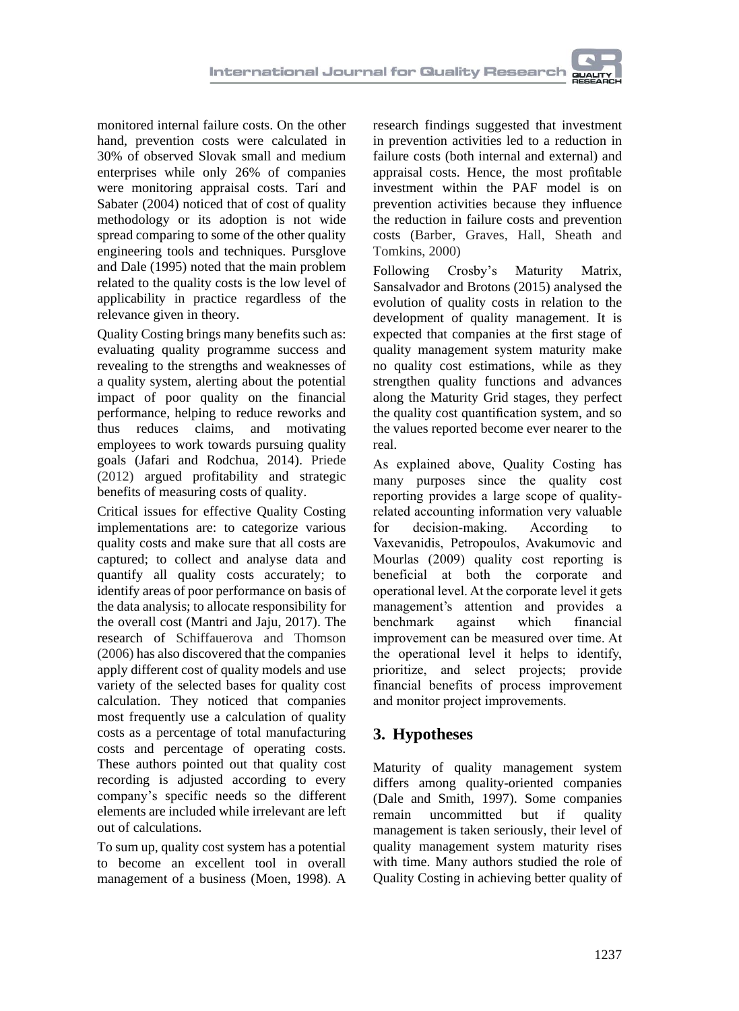monitored internal failure costs. On the other hand, prevention costs were calculated in 30% of observed Slovak small and medium enterprises while only 26% of companies were monitoring appraisal costs. Tarí and Sabater (2004) noticed that of cost of quality methodology or its adoption is not wide spread comparing to some of the other quality engineering tools and techniques. Pursglove and Dale (1995) noted that the main problem related to the quality costs is the low level of applicability in practice regardless of the relevance given in theory.

Quality Costing brings many benefits such as: evaluating quality programme success and revealing to the strengths and weaknesses of a quality system, alerting about the potential impact of poor quality on the financial performance, helping to reduce reworks and thus reduces claims, and motivating employees to work towards pursuing quality goals (Jafari and Rodchua, 2014). Priede (2012) argued profitability and strategic benefits of measuring costs of quality.

Critical issues for effective Quality Costing implementations are: to categorize various quality costs and make sure that all costs are captured; to collect and analyse data and quantify all quality costs accurately; to identify areas of poor performance on basis of the data analysis; to allocate responsibility for the overall cost (Mantri and Jaju, 2017). The research of Schiffauerova and Thomson (2006) has also discovered that the companies apply different cost of quality models and use variety of the selected bases for quality cost calculation. They noticed that companies most frequently use a calculation of quality costs as a percentage of total manufacturing costs and percentage of operating costs. These authors pointed out that quality cost recording is adjusted according to every company's specific needs so the different elements are included while irrelevant are left out of calculations.

To sum up, quality cost system has a potential to become an excellent tool in overall management of a business (Moen, 1998). A

research findings suggested that investment in prevention activities led to a reduction in failure costs (both internal and external) and appraisal costs. Hence, the most profitable investment within the PAF model is on prevention activities because they influence the reduction in failure costs and prevention costs (Barber, Graves, Hall, Sheath and Tomkins, 2000)

Following Crosby's Maturity Matrix, Sansalvador and Brotons (2015) analysed the evolution of quality costs in relation to the development of quality management. It is expected that companies at the first stage of quality management system maturity make no quality cost estimations, while as they strengthen quality functions and advances along the Maturity Grid stages, they perfect the quality cost quantification system, and so the values reported become ever nearer to the real.

As explained above, Quality Costing has many purposes since the quality cost reporting provides a large scope of qualityrelated accounting information very valuable for decision-making. According to Vaxevanidis, Petropoulos, Avakumovic and Mourlas (2009) quality cost reporting is beneficial at both the corporate and operational level. At the corporate level it gets management's attention and provides a benchmark against which financial improvement can be measured over time. At the operational level it helps to identify, prioritize, and select projects; provide financial benefits of process improvement and monitor project improvements.

### **3. Hypotheses**

Maturity of quality management system differs among quality-oriented companies (Dale and Smith, 1997). Some companies remain uncommitted but if quality management is taken seriously, their level of quality management system maturity rises with time. Many authors studied the role of Quality Costing in achieving better quality of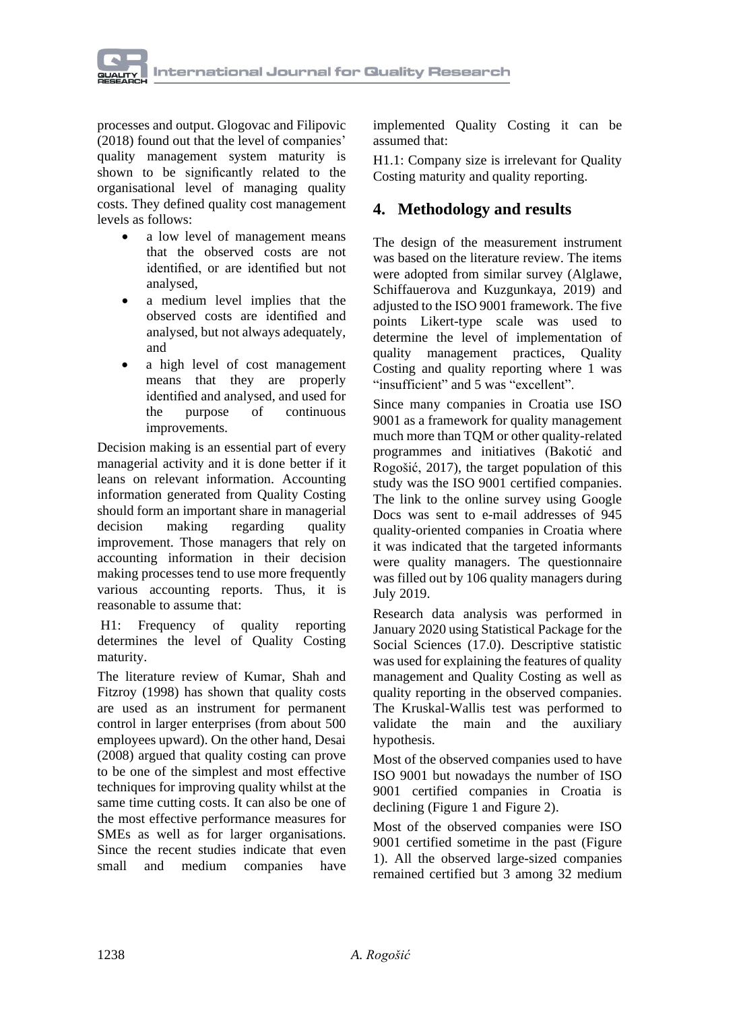

processes and output. Glogovac and Filipovic (2018) found out that the level of companies' quality management system maturity is shown to be significantly related to the organisational level of managing quality costs. They defined quality cost management levels as follows:

- a low level of management means that the observed costs are not identified, or are identified but not analysed,
- a medium level implies that the observed costs are identified and analysed, but not always adequately, and
- a high level of cost management means that they are properly identified and analysed, and used for the purpose of continuous improvements.

Decision making is an essential part of every managerial activity and it is done better if it leans on relevant information. Accounting information generated from Quality Costing should form an important share in managerial decision making regarding quality improvement. Those managers that rely on accounting information in their decision making processes tend to use more frequently various accounting reports. Thus, it is reasonable to assume that:

H1: Frequency of quality reporting determines the level of Quality Costing maturity.

The literature review of Kumar, Shah and Fitzroy (1998) has shown that quality costs are used as an instrument for permanent control in larger enterprises (from about 500 employees upward). On the other hand, Desai (2008) argued that quality costing can prove to be one of the simplest and most effective techniques for improving quality whilst at the same time cutting costs. It can also be one of the most effective performance measures for SMEs as well as for larger organisations. Since the recent studies indicate that even small and medium companies have

implemented Quality Costing it can be assumed that:

H1.1: Company size is irrelevant for Quality Costing maturity and quality reporting.

#### **4. Methodology and results**

The design of the measurement instrument was based on the literature review. The items were adopted from similar survey (Alglawe, Schiffauerova and Kuzgunkaya, 2019) and adjusted to the ISO 9001 framework. The five points Likert-type scale was used to determine the level of implementation of quality management practices, Quality Costing and quality reporting where 1 was "insufficient" and 5 was "excellent".

Since many companies in Croatia use ISO 9001 as a framework for quality management much more than TQM or other quality-related programmes and initiatives (Bakotić and Rogošić, 2017), the target population of this study was the ISO 9001 certified companies. The link to the online survey using Google Docs was sent to e-mail addresses of 945 quality-oriented companies in Croatia where it was indicated that the targeted informants were quality managers. The questionnaire was filled out by 106 quality managers during July 2019.

Research data analysis was performed in January 2020 using Statistical Package for the Social Sciences (17.0). Descriptive statistic was used for explaining the features of quality management and Quality Costing as well as quality reporting in the observed companies. The Kruskal-Wallis test was performed to validate the main and the auxiliary hypothesis.

Most of the observed companies used to have ISO 9001 but nowadays the number of ISO 9001 certified companies in Croatia is declining (Figure 1 and Figure 2).

Most of the observed companies were ISO 9001 certified sometime in the past (Figure 1). All the observed large-sized companies remained certified but 3 among 32 medium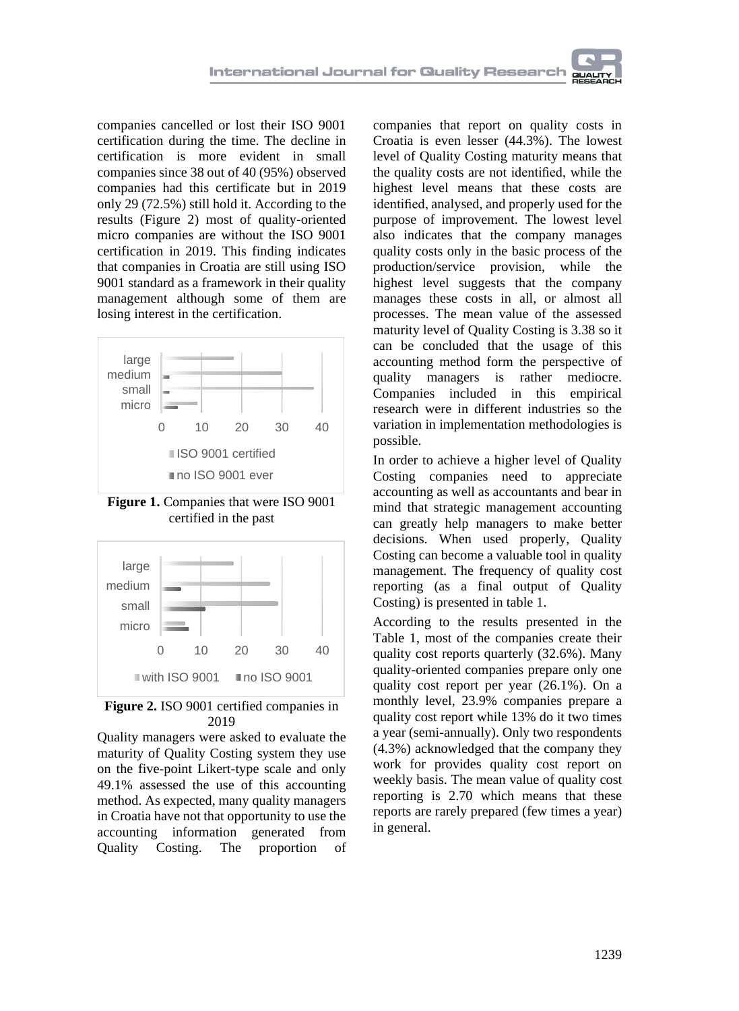

companies cancelled or lost their ISO 9001 certification during the time. The decline in certification is more evident in small companies since 38 out of 40 (95%) observed companies had this certificate but in 2019 only 29 (72.5%) still hold it. According to the results (Figure 2) most of quality-oriented micro companies are without the ISO 9001 certification in 2019. This finding indicates that companies in Croatia are still using ISO 9001 standard as a framework in their quality management although some of them are losing interest in the certification.



**Figure 1.** Companies that were ISO 9001 certified in the past





Quality managers were asked to evaluate the maturity of Quality Costing system they use on the five-point Likert-type scale and only 49.1% assessed the use of this accounting method. As expected, many quality managers in Croatia have not that opportunity to use the accounting information generated from Quality Costing. The proportion of companies that report on quality costs in Croatia is even lesser (44.3%). The lowest level of Quality Costing maturity means that the quality costs are not identified, while the highest level means that these costs are identified, analysed, and properly used for the purpose of improvement. The lowest level also indicates that the company manages quality costs only in the basic process of the production/service provision, while the highest level suggests that the company manages these costs in all, or almost all processes. The mean value of the assessed maturity level of Quality Costing is 3.38 so it can be concluded that the usage of this accounting method form the perspective of quality managers is rather mediocre. Companies included in this empirical research were in different industries so the variation in implementation methodologies is possible.

In order to achieve a higher level of Quality Costing companies need to appreciate accounting as well as accountants and bear in mind that strategic management accounting can greatly help managers to make better decisions. When used properly, Quality Costing can become a valuable tool in quality management. The frequency of quality cost reporting (as a final output of Quality Costing) is presented in table 1.

According to the results presented in the Table 1, most of the companies create their quality cost reports quarterly (32.6%). Many quality-oriented companies prepare only one quality cost report per year (26.1%). On a monthly level, 23.9% companies prepare a quality cost report while 13% do it two times a year (semi-annually). Only two respondents (4.3%) acknowledged that the company they work for provides quality cost report on weekly basis. The mean value of quality cost reporting is 2.70 which means that these reports are rarely prepared (few times a year) in general.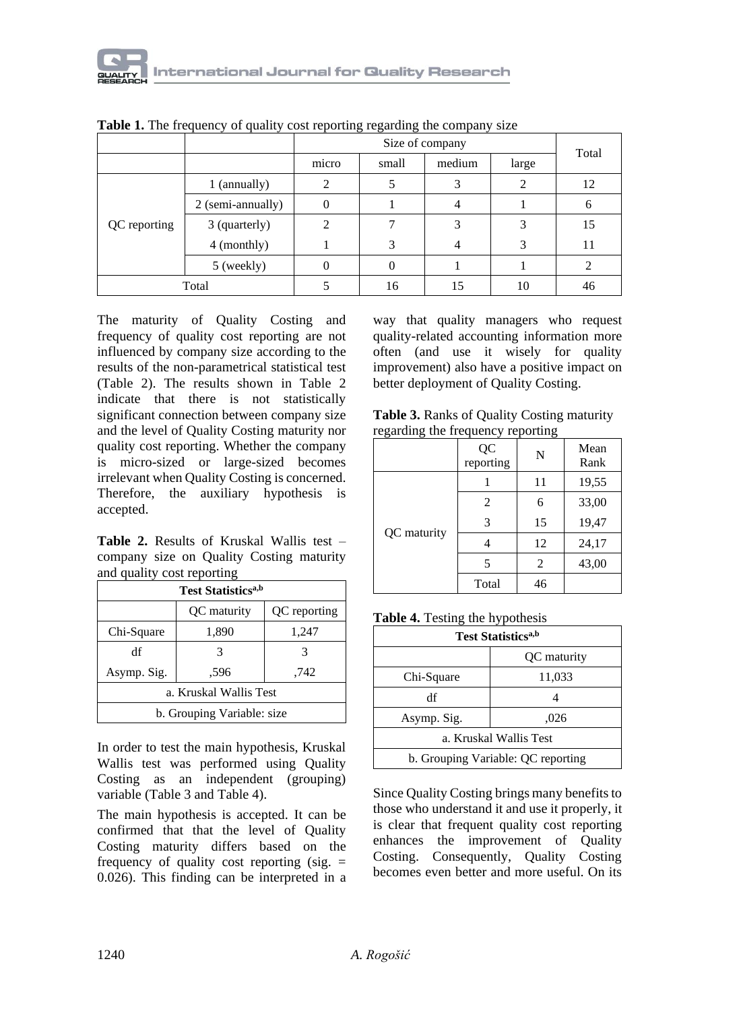|              |                   | Size of company |       |        | Total |    |
|--------------|-------------------|-----------------|-------|--------|-------|----|
|              |                   | micro           | small | medium | large |    |
| QC reporting | 1 (annually)      | $\overline{c}$  |       |        | 2     | 12 |
|              | 2 (semi-annually) | 0               |       |        |       | 6  |
|              | 3 (quarterly)     | 2               | 7     |        | 3     | 15 |
|              | 4 (monthly)       |                 | 3     |        | 3     | 11 |
|              | 5 (weekly)        |                 | 0     |        |       |    |
| Total        |                   |                 | 16    | 15     | 10    | 46 |

**Table 1.** The frequency of quality cost reporting regarding the company size

The maturity of Quality Costing and frequency of quality cost reporting are not influenced by company size according to the results of the non-parametrical statistical test (Table 2). The results shown in Table 2 indicate that there is not statistically significant connection between company size and the level of Quality Costing maturity nor quality cost reporting. Whether the company is micro-sized or large-sized becomes irrelevant when Quality Costing is concerned. Therefore, the auxiliary hypothesis is accepted.

| <b>Table 2.</b> Results of Kruskal Wallis test – |  |  |
|--------------------------------------------------|--|--|
| company size on Quality Costing maturity         |  |  |
| and quality cost reporting                       |  |  |

| <b>Test Statistics</b> <sup>a,b</sup> |  |   |  |  |
|---------------------------------------|--|---|--|--|
| OC maturity<br>QC reporting           |  |   |  |  |
| Chi-Square<br>1,890<br>1,247          |  |   |  |  |
| df                                    |  | 3 |  |  |
| Asymp. Sig.<br>.596<br>.742           |  |   |  |  |
| a. Kruskal Wallis Test                |  |   |  |  |
| b. Grouping Variable: size            |  |   |  |  |

In order to test the main hypothesis, Kruskal Wallis test was performed using Quality Costing as an independent (grouping) variable (Table 3 and Table 4).

The main hypothesis is accepted. It can be confirmed that that the level of Quality Costing maturity differs based on the frequency of quality cost reporting (sig.  $=$ 0.026). This finding can be interpreted in a way that quality managers who request quality-related accounting information more often (and use it wisely for quality improvement) also have a positive impact on better deployment of Quality Costing.

| regarding the frequency reporting | Table 3. Ranks of Quality Costing maturity |  |  |
|-----------------------------------|--------------------------------------------|--|--|
|                                   |                                            |  |  |

|             | QC<br>reporting | $\mathbf N$    | Mean<br>Rank |
|-------------|-----------------|----------------|--------------|
| QC maturity |                 | 11             | 19,55        |
|             | 2               | 6              | 33,00        |
|             | 3               | 15             | 19,47        |
|             |                 | 12             | 24,17        |
|             | 5               | $\overline{c}$ | 43,00        |
|             | Total           | 46             |              |

**Table 4.** Testing the hypothesis

| <b>Test Statistics</b> <sup>a,b</sup> |  |  |  |
|---------------------------------------|--|--|--|
| OC maturity                           |  |  |  |
| Chi-Square<br>11,033                  |  |  |  |
| df                                    |  |  |  |
| Asymp. Sig.<br>,026                   |  |  |  |
| a. Kruskal Wallis Test                |  |  |  |
| b. Grouping Variable: QC reporting    |  |  |  |

Since Quality Costing brings many benefits to those who understand it and use it properly, it is clear that frequent quality cost reporting enhances the improvement of Quality Costing. Consequently, Quality Costing becomes even better and more useful. On its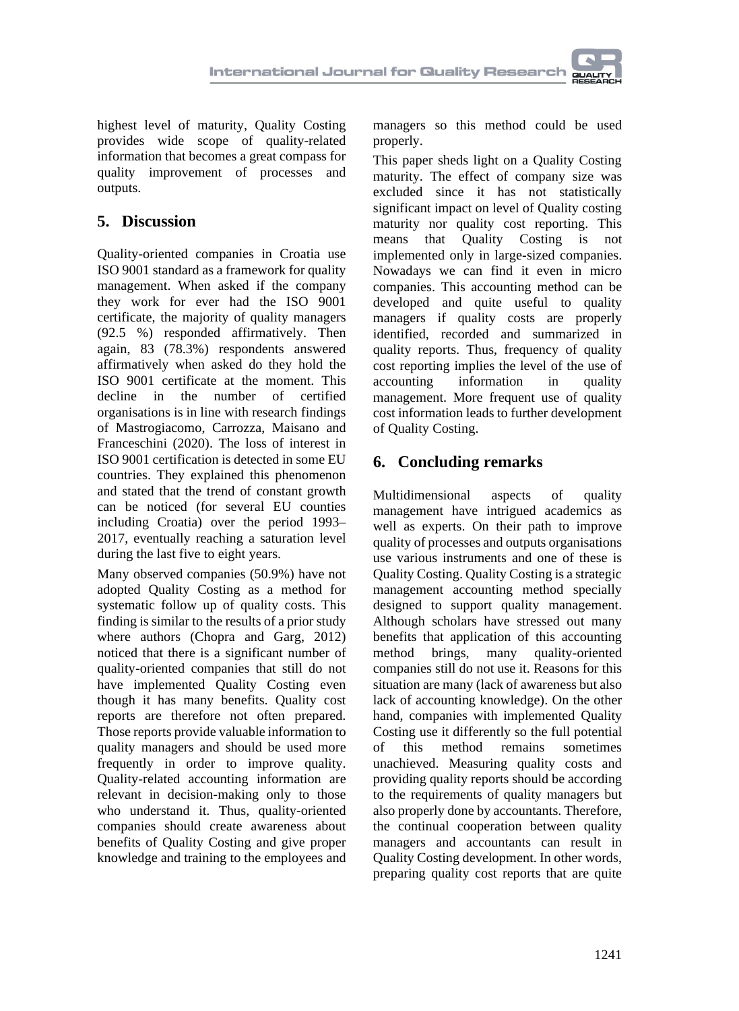highest level of maturity, Quality Costing provides wide scope of quality-related information that becomes a great compass for quality improvement of processes and outputs.

# **5. Discussion**

Quality-oriented companies in Croatia use ISO 9001 standard as a framework for quality management. When asked if the company they work for ever had the ISO 9001 certificate, the majority of quality managers (92.5 %) responded affirmatively. Then again, 83 (78.3%) respondents answered affirmatively when asked do they hold the ISO 9001 certificate at the moment. This decline in the number of certified organisations is in line with research findings of Mastrogiacomo, Carrozza, Maisano and Franceschini (2020). The loss of interest in ISO 9001 certification is detected in some EU countries. They explained this phenomenon and stated that the trend of constant growth can be noticed (for several EU counties including Croatia) over the period 1993– 2017, eventually reaching a saturation level during the last five to eight years.

Many observed companies (50.9%) have not adopted Quality Costing as a method for systematic follow up of quality costs. This finding is similar to the results of a prior study where authors (Chopra and Garg, 2012) noticed that there is a significant number of quality-oriented companies that still do not have implemented Quality Costing even though it has many benefits. Quality cost reports are therefore not often prepared. Those reports provide valuable information to quality managers and should be used more frequently in order to improve quality. Quality-related accounting information are relevant in decision-making only to those who understand it. Thus, quality-oriented companies should create awareness about benefits of Quality Costing and give proper knowledge and training to the employees and

managers so this method could be used properly.

This paper sheds light on a Quality Costing maturity. The effect of company size was excluded since it has not statistically significant impact on level of Quality costing maturity nor quality cost reporting. This means that Quality Costing is not implemented only in large-sized companies. Nowadays we can find it even in micro companies. This accounting method can be developed and quite useful to quality managers if quality costs are properly identified, recorded and summarized in quality reports. Thus, frequency of quality cost reporting implies the level of the use of accounting information in quality management. More frequent use of quality cost information leads to further development of Quality Costing.

# **6. Concluding remarks**

Multidimensional aspects of quality management have intrigued academics as well as experts. On their path to improve quality of processes and outputs organisations use various instruments and one of these is Quality Costing. Quality Costing is a strategic management accounting method specially designed to support quality management. Although scholars have stressed out many benefits that application of this accounting method brings, many quality-oriented companies still do not use it. Reasons for this situation are many (lack of awareness but also lack of accounting knowledge). On the other hand, companies with implemented Quality Costing use it differently so the full potential of this method remains sometimes unachieved. Measuring quality costs and providing quality reports should be according to the requirements of quality managers but also properly done by accountants. Therefore, the continual cooperation between quality managers and accountants can result in Quality Costing development. In other words, preparing quality cost reports that are quite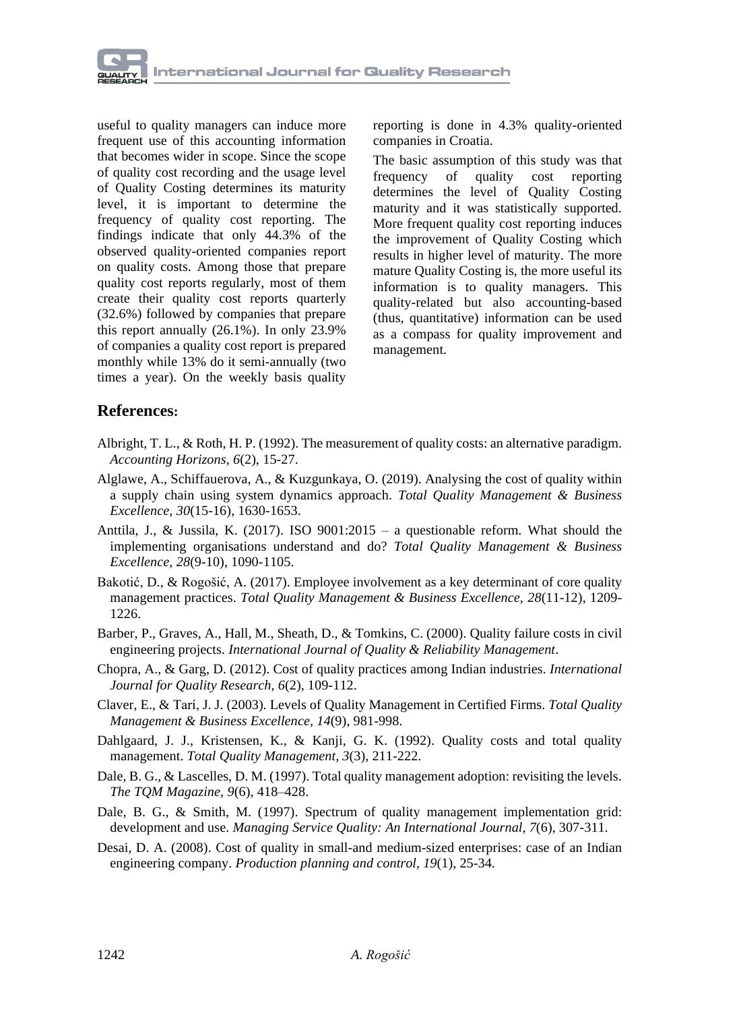

useful to quality managers can induce more frequent use of this accounting information that becomes wider in scope. Since the scope of quality cost recording and the usage level of Quality Costing determines its maturity level, it is important to determine the frequency of quality cost reporting. The findings indicate that only 44.3% of the observed quality-oriented companies report on quality costs. Among those that prepare quality cost reports regularly, most of them create their quality cost reports quarterly (32.6%) followed by companies that prepare this report annually (26.1%). In only 23.9% of companies a quality cost report is prepared monthly while 13% do it semi-annually (two times a year). On the weekly basis quality

reporting is done in 4.3% quality-oriented companies in Croatia.

The basic assumption of this study was that frequency of quality cost reporting determines the level of Quality Costing maturity and it was statistically supported. More frequent quality cost reporting induces the improvement of Quality Costing which results in higher level of maturity. The more mature Quality Costing is, the more useful its information is to quality managers. This quality-related but also accounting-based (thus, quantitative) information can be used as a compass for quality improvement and management.

#### **References:**

- Albright, T. L., & Roth, H. P. (1992). The measurement of quality costs: an alternative paradigm. *Accounting Horizons, 6*(2), 15-27.
- Alglawe, A., Schiffauerova, A., & Kuzgunkaya, O. (2019). Analysing the cost of quality within a supply chain using system dynamics approach. *Total Quality Management & Business Excellence, 30*(15-16), 1630-1653.
- Anttila, J., & Jussila, K. (2017). ISO 9001:2015 a questionable reform. What should the implementing organisations understand and do? *Total Quality Management & Business Excellence, 28*(9-10), 1090-1105.
- Bakotić, D., & Rogošić, A. (2017). Employee involvement as a key determinant of core quality management practices. *Total Quality Management & Business Excellence, 28*(11-12), 1209- 1226.
- Barber, P., Graves, A., Hall, M., Sheath, D., & Tomkins, C. (2000). Quality failure costs in civil engineering projects. *International Journal of Quality & Reliability Management*.
- Chopra, A., & Garg, D. (2012). Cost of quality practices among Indian industries. *International Journal for Quality Research, 6*(2), 109-112.
- Claver, E., & Tarí, J. J. (2003). Levels of Quality Management in Certified Firms. *Total Quality Management & Business Excellence, 14*(9), 981-998.
- Dahlgaard, J. J., Kristensen, K., & Kanji, G. K. (1992). Quality costs and total quality management. *Total Quality Management, 3*(3), 211-222.
- Dale, B. G., & Lascelles, D. M. (1997). Total quality management adoption: revisiting the levels. *The TQM Magazine, 9*(6), 418–428.
- Dale, B. G., & Smith, M. (1997). Spectrum of quality management implementation grid: development and use. *Managing Service Quality: An International Journal, 7*(6), 307-311.
- Desai, D. A. (2008). Cost of quality in small-and medium-sized enterprises: case of an Indian engineering company. *Production planning and control, 19*(1), 25-34.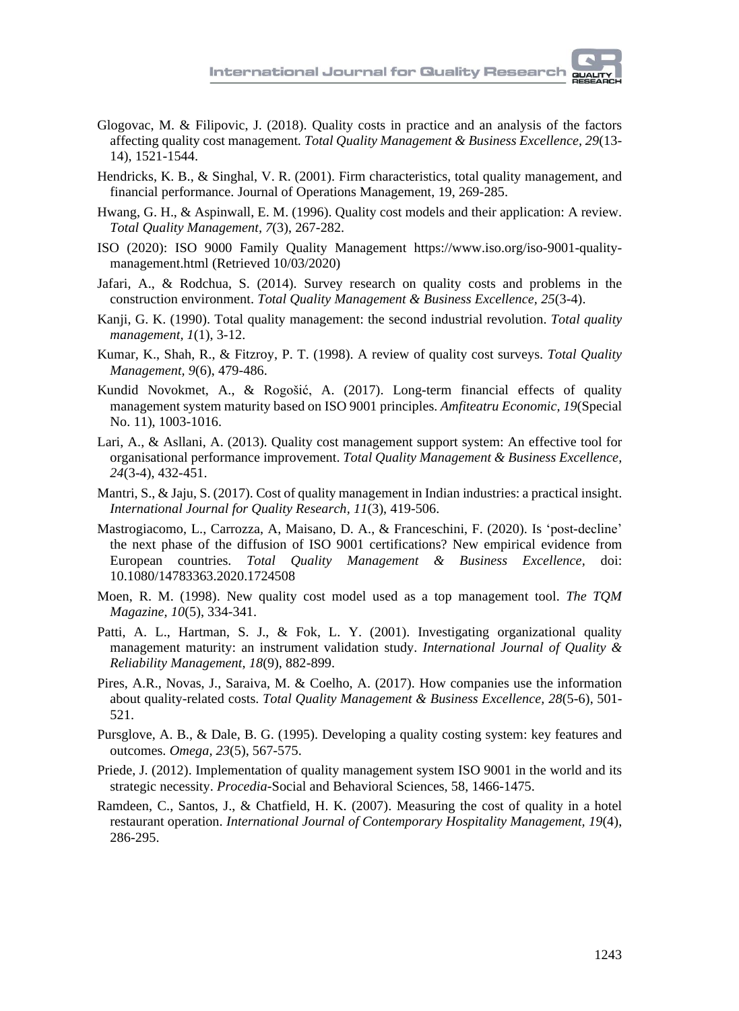- Glogovac, M. & Filipovic, J. (2018). Quality costs in practice and an analysis of the factors affecting quality cost management*. Total Quality Management & Business Excellence, 29*(13- 14), 1521-1544.
- Hendricks, K. B., & Singhal, V. R. (2001). Firm characteristics, total quality management, and financial performance. Journal of Operations Management, 19, 269-285.
- Hwang, G. H., & Aspinwall, E. M. (1996). Quality cost models and their application: A review. *Total Quality Management, 7*(3), 267-282.
- ISO (2020): ISO 9000 Family Quality Management https://www.iso.org/iso-9001-qualitymanagement.html (Retrieved 10/03/2020)
- Jafari, A., & Rodchua, S. (2014). Survey research on quality costs and problems in the construction environment. *Total Quality Management & Business Excellence, 25*(3-4).
- Kanji, G. K. (1990). Total quality management: the second industrial revolution. *Total quality management, 1*(1), 3-12.
- Kumar, K., Shah, R., & Fitzroy, P. T. (1998). A review of quality cost surveys. *Total Quality Management, 9*(6), 479-486.
- Kundid Novokmet, A., & Rogošić, A. (2017). Long-term financial effects of quality management system maturity based on ISO 9001 principles. *Amfiteatru Economic, 19*(Special No. 11), 1003-1016.
- Lari, A., & Asllani, A. (2013). Quality cost management support system: An effective tool for organisational performance improvement. *Total Quality Management & Business Excellence, 24*(3-4), 432-451.
- Mantri, S., & Jaju, S. (2017). Cost of quality management in Indian industries: a practical insight. *International Journal for Quality Research, 11*(3), 419-506.
- Mastrogiacomo, L., Carrozza, A, Maisano, D. A., & Franceschini, F. (2020). Is 'post-decline' the next phase of the diffusion of ISO 9001 certifications? New empirical evidence from European countries. *Total Quality Management & Business Excellence,* doi: 10.1080/14783363.2020.1724508
- Moen, R. M. (1998). New quality cost model used as a top management tool. *The TQM Magazine, 10*(5), 334-341.
- Patti, A. L., Hartman, S. J., & Fok, L. Y. (2001). Investigating organizational quality management maturity: an instrument validation study. *International Journal of Quality & Reliability Management, 18*(9), 882-899.
- Pires, A.R., Novas, J., Saraiva, M. & Coelho, A. (2017). How companies use the information about quality-related costs. *Total Quality Management & Business Excellence, 28*(5-6), 501- 521.
- Pursglove, A. B., & Dale, B. G. (1995). Developing a quality costing system: key features and outcomes. *Omega, 23*(5), 567-575.
- Priede, J. (2012). Implementation of quality management system ISO 9001 in the world and its strategic necessity. *Procedia*-Social and Behavioral Sciences, 58, 1466-1475.
- Ramdeen, C., Santos, J., & Chatfield, H. K. (2007). Measuring the cost of quality in a hotel restaurant operation. *International Journal of Contemporary Hospitality Management, 19*(4), 286-295.